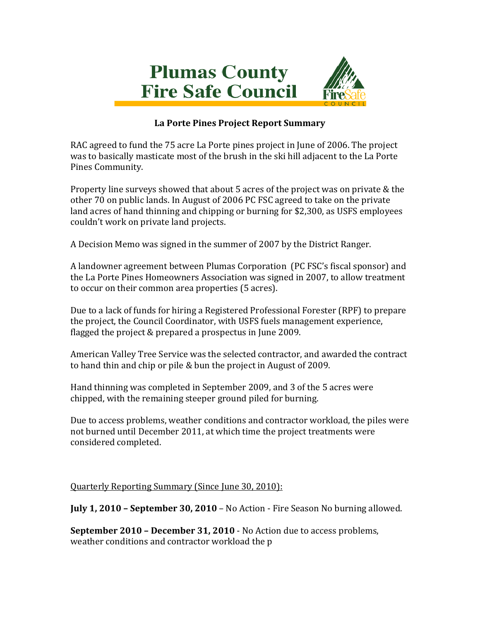

## **La Porte Pines Project Report Summary**

RAC agreed to fund the 75 acre La Porte pines project in June of 2006. The project was to basically masticate most of the brush in the ski hill adjacent to the La Porte Pines Community.

Property line surveys showed that about 5 acres of the project was on private & the other 70 on public lands. In August of 2006 PC FSC agreed to take on the private land acres of hand thinning and chipping or burning for \$2,300, as USFS employees couldn't work on private land projects.

A Decision Memo was signed in the summer of 2007 by the District Ranger.

A landowner agreement between Plumas Corporation (PC FSC's fiscal sponsor) and the La Porte Pines Homeowners Association was signed in 2007, to allow treatment to occur on their common area properties (5 acres).

Due to a lack of funds for hiring a Registered Professional Forester (RPF) to prepare the project, the Council Coordinator, with USFS fuels management experience, flagged the project & prepared a prospectus in June 2009.

American Valley Tree Service was the selected contractor, and awarded the contract to hand thin and chip or pile & bun the project in August of 2009.

Hand thinning was completed in September 2009, and 3 of the 5 acres were chipped, with the remaining steeper ground piled for burning.

Due to access problems, weather conditions and contractor workload, the piles were not burned until December 2011, at which time the project treatments were considered completed.

Quarterly Reporting Summary (Since June 30, 2010):

**July 1, 2010 – September 30, 2010** – No Action - Fire Season No burning allowed.

**September 2010 – December 31, 2010** - No Action due to access problems, weather conditions and contractor workload the p